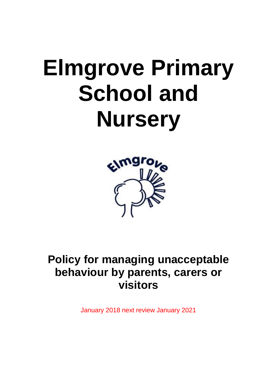## **Elmgrove Primary School and Nursery**



**Policy for managing unacceptable behaviour by parents, carers or visitors**

January 2018 next review January 2021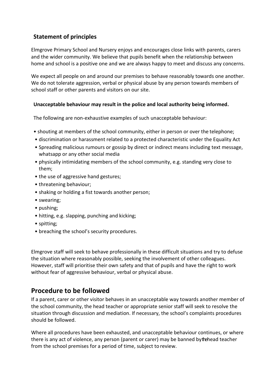## **Statement of principles**

Elmgrove Primary School and Nursery enjoys and encourages close links with parents, carers and the wider community. We believe that pupils benefit when the relationship between home and school is a positive one and we are always happy to meet and discuss any concerns.

We expect all people on and around our premises to behave reasonably towards one another. We do not tolerate aggression, verbal or physical abuse by any person towards members of school staff or other parents and visitors on our site.

## **Unacceptable behaviour may result in the police and local authority being informed.**

The following are non-exhaustive examples of such unacceptable behaviour:

- shouting at members of the school community, either in person or over the telephone;
- discrimination or harassment related to a protected characteristic under the Equality Act
- Spreading malicious rumours or gossip by direct or indirect means including text message, whatsapp or any other social media
- physically intimidating members of the school community, e.g. standing very close to them;
- the use of aggressive hand gestures;
- threatening behaviour;
- shaking or holding a fist towards another person;
- swearing;
- pushing;
- hitting, e.g. slapping, punching and kicking;
- spitting;
- breaching the school's security procedures.

Elmgrove staff will seek to behave professionally in these difficult situations and try to defuse the situation where reasonably possible, seeking the involvement of other colleagues. However, staff will prioritise their own safety and that of pupils and have the right to work without fear of aggressive behaviour, verbal or physical abuse.

## **Procedure to be followed**

If a parent, carer or other visitor behaves in an unacceptable way towards another member of the school community, the head teacher or appropriate senior staff will seek to resolve the situation through discussion and mediation. If necessary, the school's complaints procedures should be followed.

Where all procedures have been exhausted, and unacceptable behaviour continues, or where there is any act of violence, any person (parent or carer) may be banned by the head teacher from the school premises for a period of time, subject to review.